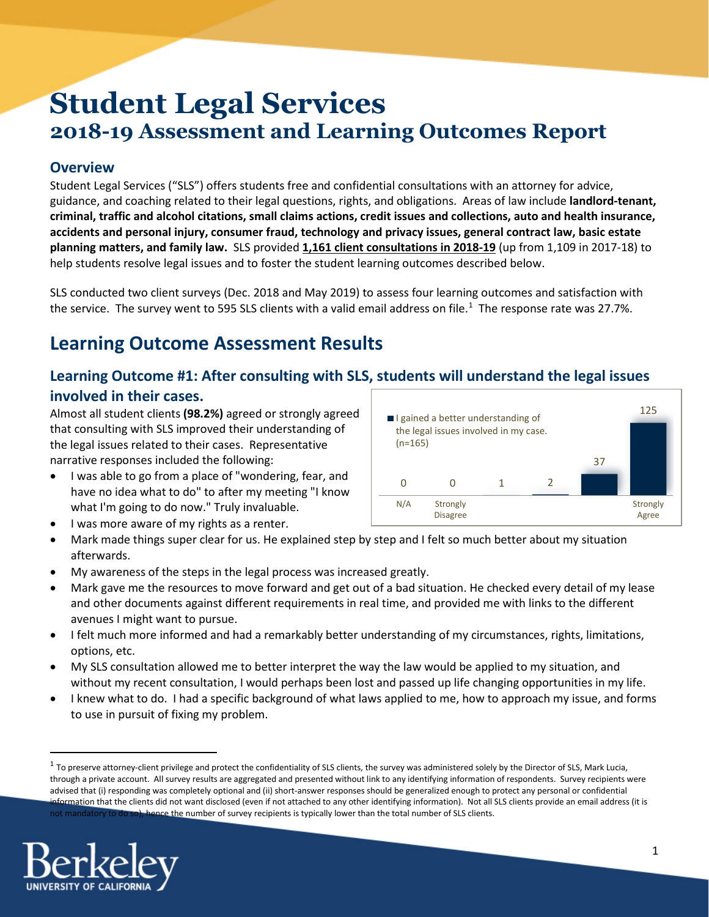# **Student Legal Services 2018-19 Assessment and Learning Outcomes Report**

### **Overview**

Student Legal Services ("SLS") offers students free and confidential consultations with an attorney for advice, guidance, and coaching related to their legal questions, rights, and obligations. Areas of law include **landlord-tenant, criminal, traffic and alcohol citations, small claims actions, credit issues and collections, auto and health insurance, accidents and personal injury, consumer fraud, technology and privacy issues, general contract law, basic estate planning matters, and family law.** SLS provided **1,161 client consultations in 2018-19** (up from 1,109 in 2017-18) to help students resolve legal issues and to foster the student learning outcomes described below.

SLS conducted two client surveys (Dec. 2018 and May 2019) to assess four learning outcomes and satisfaction with the service. The survey went to 595 SLS clients with a valid email address on file.<sup>[1](#page-0-0)</sup> The response rate was 27.7%.

# **Learning Outcome Assessment Results**

### **Learning Outcome #1: After consulting with SLS, students will understand the legal issues involved in their cases.**

Almost all student clients **(98.2%)** agreed or strongly agreed that consulting with SLS improved their understanding of the legal issues related to their cases. Representative narrative responses included the following:

- I was able to go from a place of "wondering, fear, and have no idea what to do" to after my meeting "I know what I'm going to do now." Truly invaluable.
- I was more aware of my rights as a renter.
- Mark made things super clear for us. He explained step by step and I felt so much better about my situation afterwards.
- My awareness of the steps in the legal process was increased greatly.
- Mark gave me the resources to move forward and get out of a bad situation. He checked every detail of my lease and other documents against different requirements in real time, and provided me with links to the different avenues I might want to pursue.
- I felt much more informed and had a remarkably better understanding of my circumstances, rights, limitations, options, etc.
- My SLS consultation allowed me to better interpret the way the law would be applied to my situation, and without my recent consultation, I would perhaps been lost and passed up life changing opportunities in my life.
- I knew what to do. I had a specific background of what laws applied to me, how to approach my issue, and forms to use in pursuit of fixing my problem.

<span id="page-0-0"></span> $1$  To preserve attorney-client privilege and protect the confidentiality of SLS clients, the survey was administered solely by the Director of SLS, Mark Lucia, through a private account. All survey results are aggregated and presented without link to any identifying information of respondents. Survey recipients were advised that (i) responding was completely optional and (ii) short-answer responses should be generalized enough to protect any personal or confidential information that the clients did not want disclosed (even if not attached to any other identifying information). Not all SLS clients provide an email address (it is not mandatory to do so), hence the number of survey recipients is typically lower than the total number of SLS clients.



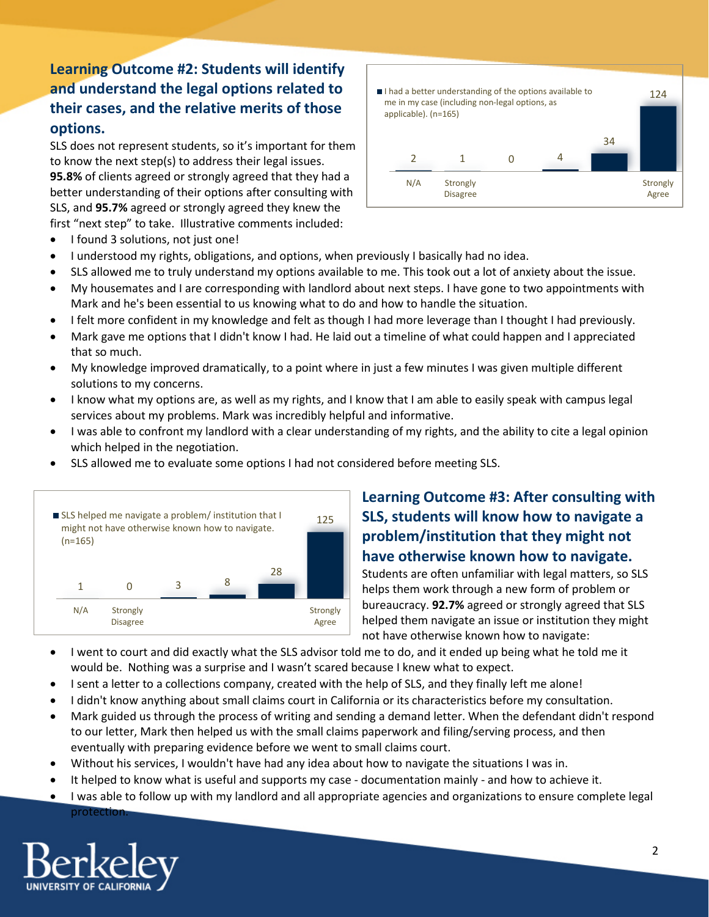## **Learning Outcome #2: Students will identify and understand the legal options related to their cases, and the relative merits of those options.**

SLS does not represent students, so it's important for them to know the next step(s) to address their legal issues. **95.8%** of clients agreed or strongly agreed that they had a better understanding of their options after consulting with SLS, and **95.7%** agreed or strongly agreed they knew the first "next step" to take. Illustrative comments included:



- I found 3 solutions, not just one!
- I understood my rights, obligations, and options, when previously I basically had no idea.
- SLS allowed me to truly understand my options available to me. This took out a lot of anxiety about the issue.
- My housemates and I are corresponding with landlord about next steps. I have gone to two appointments with Mark and he's been essential to us knowing what to do and how to handle the situation.
- I felt more confident in my knowledge and felt as though I had more leverage than I thought I had previously.
- Mark gave me options that I didn't know I had. He laid out a timeline of what could happen and I appreciated that so much.
- My knowledge improved dramatically, to a point where in just a few minutes I was given multiple different solutions to my concerns.
- I know what my options are, as well as my rights, and I know that I am able to easily speak with campus legal services about my problems. Mark was incredibly helpful and informative.
- I was able to confront my landlord with a clear understanding of my rights, and the ability to cite a legal opinion which helped in the negotiation.
- SLS allowed me to evaluate some options I had not considered before meeting SLS.



### **Learning Outcome #3: After consulting with SLS, students will know how to navigate a problem/institution that they might not have otherwise known how to navigate.**

Students are often unfamiliar with legal matters, so SLS helps them work through a new form of problem or bureaucracy. **92.7%** agreed or strongly agreed that SLS helped them navigate an issue or institution they might not have otherwise known how to navigate:

- I went to court and did exactly what the SLS advisor told me to do, and it ended up being what he told me it would be. Nothing was a surprise and I wasn't scared because I knew what to expect.
- I sent a letter to a collections company, created with the help of SLS, and they finally left me alone!
- I didn't know anything about small claims court in California or its characteristics before my consultation.
- Mark guided us through the process of writing and sending a demand letter. When the defendant didn't respond to our letter, Mark then helped us with the small claims paperwork and filing/serving process, and then eventually with preparing evidence before we went to small claims court.
- Without his services, I wouldn't have had any idea about how to navigate the situations I was in.
- It helped to know what is useful and supports my case documentation mainly and how to achieve it.
- I was able to follow up with my landlord and all appropriate agencies and organizations to ensure complete legal protection

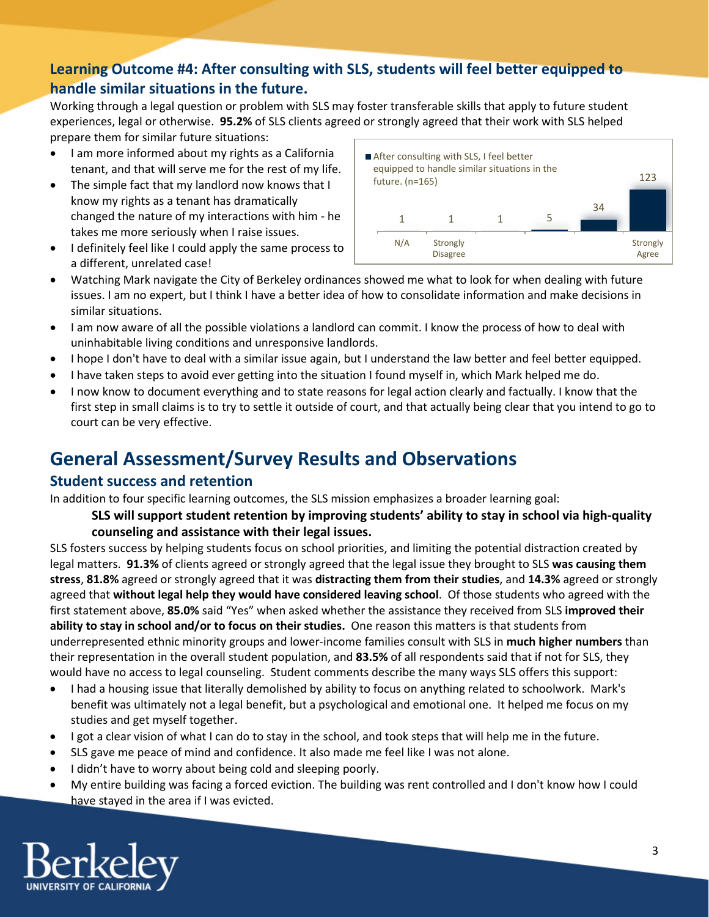### **Learning Outcome #4: After consulting with SLS, students will feel better equipped to handle similar situations in the future.**

Working through a legal question or problem with SLS may foster transferable skills that apply to future student experiences, legal or otherwise. **95.2%** of SLS clients agreed or strongly agreed that their work with SLS helped prepare them for similar future situations:

- I am more informed about my rights as a California tenant, and that will serve me for the rest of my life.
- The simple fact that my landlord now knows that I know my rights as a tenant has dramatically changed the nature of my interactions with him - he takes me more seriously when I raise issues.
- I definitely feel like I could apply the same process to a different, unrelated case!



- Watching Mark navigate the City of Berkeley ordinances showed me what to look for when dealing with future issues. I am no expert, but I think I have a better idea of how to consolidate information and make decisions in similar situations.
- I am now aware of all the possible violations a landlord can commit. I know the process of how to deal with uninhabitable living conditions and unresponsive landlords.
- I hope I don't have to deal with a similar issue again, but I understand the law better and feel better equipped.
- I have taken steps to avoid ever getting into the situation I found myself in, which Mark helped me do.
- I now know to document everything and to state reasons for legal action clearly and factually. I know that the first step in small claims is to try to settle it outside of court, and that actually being clear that you intend to go to court can be very effective.

# **General Assessment/Survey Results and Observations**

#### **Student success and retention**

In addition to four specific learning outcomes, the SLS mission emphasizes a broader learning goal:

#### **SLS will support student retention by improving students' ability to stay in school via high-quality counseling and assistance with their legal issues.**

SLS fosters success by helping students focus on school priorities, and limiting the potential distraction created by legal matters. **91.3%** of clients agreed or strongly agreed that the legal issue they brought to SLS **was causing them stress**, **81.8%** agreed or strongly agreed that it was **distracting them from their studies**, and **14.3%** agreed or strongly agreed that **without legal help they would have considered leaving school**. Of those students who agreed with the first statement above, **85.0%** said "Yes" when asked whether the assistance they received from SLS **improved their ability to stay in school and/or to focus on their studies.** One reason this matters is that students from underrepresented ethnic minority groups and lower-income families consult with SLS in **much higher numbers** than their representation in the overall student population, and **83.5%** of all respondents said that if not for SLS, they would have no access to legal counseling. Student comments describe the many ways SLS offers this support:

- I had a housing issue that literally demolished by ability to focus on anything related to schoolwork. Mark's benefit was ultimately not a legal benefit, but a psychological and emotional one. It helped me focus on my studies and get myself together.
- I got a clear vision of what I can do to stay in the school, and took steps that will help me in the future.
- SLS gave me peace of mind and confidence. It also made me feel like I was not alone.
- I didn't have to worry about being cold and sleeping poorly.
- My entire building was facing a forced eviction. The building was rent controlled and I don't know how I could have stayed in the area if I was evicted.

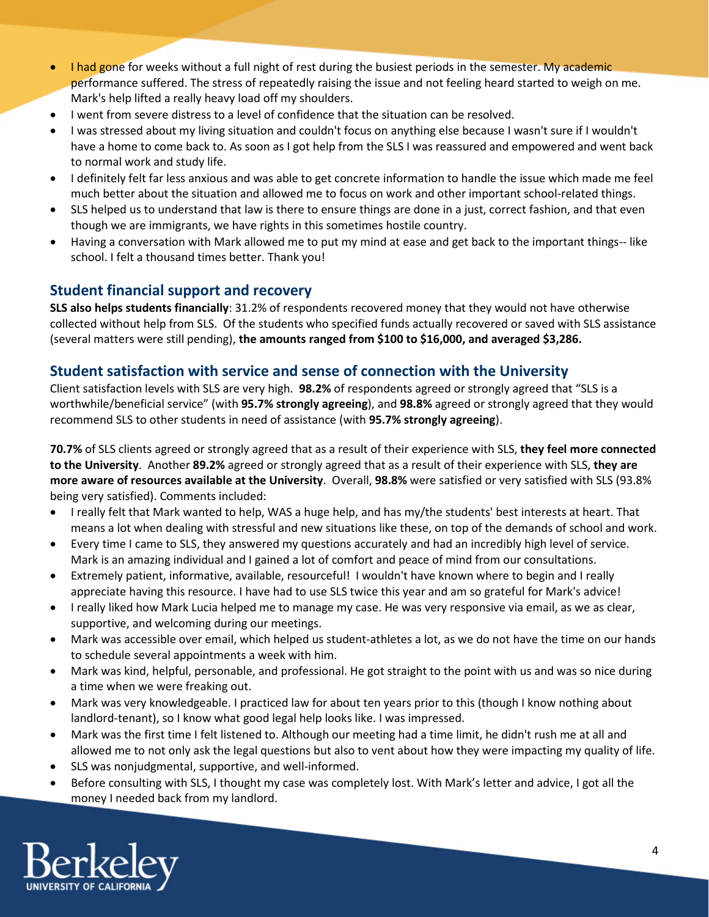- I had gone for weeks without a full night of rest during the busiest periods in the semester. My academic performance suffered. The stress of repeatedly raising the issue and not feeling heard started to weigh on me. Mark's help lifted a really heavy load off my shoulders.
- I went from severe distress to a level of confidence that the situation can be resolved.
- I was stressed about my living situation and couldn't focus on anything else because I wasn't sure if I wouldn't have a home to come back to. As soon as I got help from the SLS I was reassured and empowered and went back to normal work and study life.
- I definitely felt far less anxious and was able to get concrete information to handle the issue which made me feel much better about the situation and allowed me to focus on work and other important school-related things.
- SLS helped us to understand that law is there to ensure things are done in a just, correct fashion, and that even though we are immigrants, we have rights in this sometimes hostile country.
- Having a conversation with Mark allowed me to put my mind at ease and get back to the important things-- like school. I felt a thousand times better. Thank you!

### **Student financial support and recovery**

**SLS also helps students financially**: 31.2% of respondents recovered money that they would not have otherwise collected without help from SLS. Of the students who specified funds actually recovered or saved with SLS assistance (several matters were still pending), **the amounts ranged from \$100 to \$16,000, and averaged \$3,286.**

### **Student satisfaction with service and sense of connection with the University**

Client satisfaction levels with SLS are very high. **98.2%** of respondents agreed or strongly agreed that "SLS is a worthwhile/beneficial service" (with **95.7% strongly agreeing**), and **98.8%** agreed or strongly agreed that they would recommend SLS to other students in need of assistance (with **95.7% strongly agreeing**).

**70.7%** of SLS clients agreed or strongly agreed that as a result of their experience with SLS, **they feel more connected to the University**. Another **89.2%** agreed or strongly agreed that as a result of their experience with SLS, **they are more aware of resources available at the University**. Overall, **98.8%** were satisfied or very satisfied with SLS (93.8% being very satisfied). Comments included:

- I really felt that Mark wanted to help, WAS a huge help, and has my/the students' best interests at heart. That means a lot when dealing with stressful and new situations like these, on top of the demands of school and work.
- Every time I came to SLS, they answered my questions accurately and had an incredibly high level of service. Mark is an amazing individual and I gained a lot of comfort and peace of mind from our consultations.
- Extremely patient, informative, available, resourceful! I wouldn't have known where to begin and I really appreciate having this resource. I have had to use SLS twice this year and am so grateful for Mark's advice!
- I really liked how Mark Lucia helped me to manage my case. He was very responsive via email, as we as clear, supportive, and welcoming during our meetings.
- Mark was accessible over email, which helped us student-athletes a lot, as we do not have the time on our hands to schedule several appointments a week with him.
- Mark was kind, helpful, personable, and professional. He got straight to the point with us and was so nice during a time when we were freaking out.
- Mark was very knowledgeable. I practiced law for about ten years prior to this (though I know nothing about landlord-tenant), so I know what good legal help looks like. I was impressed.
- Mark was the first time I felt listened to. Although our meeting had a time limit, he didn't rush me at all and allowed me to not only ask the legal questions but also to vent about how they were impacting my quality of life.
- SLS was nonjudgmental, supportive, and well-informed.
- Before consulting with SLS, I thought my case was completely lost. With Mark's letter and advice, I got all the money I needed back from my landlord.